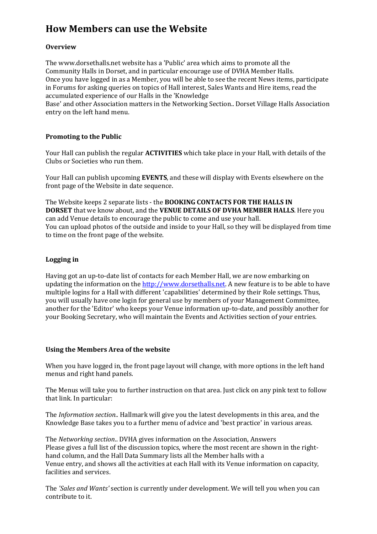# **How Members can use the Website**

### **Overview**

The www.dorsethalls.net website has a 'Public' area which aims to promote all the Community Halls in Dorset, and in particular encourage use of DVHA Member Halls. Once you have logged in as a Member, you will be able to see the recent News items, participate in Forums for asking queries on topics of Hall interest, Sales Wants and Hire items, read the accumulated experience of our Halls in the 'Knowledge

Base' and other Association matters in the Networking Section.. Dorset Village Halls Association entry on the left hand menu.

### **Promoting to the Public**

Your Hall can publish the regular **ACTIVITIES** which take place in your Hall, with details of the Clubs or Societies who run them.

Your Hall can publish upcoming **EVENTS**, and these will display with Events elsewhere on the front page of the Website in date sequence.

The Website keeps 2 separate lists - the **BOOKING CONTACTS FOR THE HALLS IN DORSET** that we know about, and the **VENUE DETAILS OF DVHA MEMBER HALLS**. Here you can add Venue details to encourage the public to come and use your hall. You can upload photos of the outside and inside to your Hall, so they will be displayed from time to time on the front page of the website.

### **Logging in**

Having got an up-to-date list of contacts for each Member Hall, we are now embarking on updating the information on the http://www.dorsethalls.net. A new feature is to be able to have multiple logins for a Hall with different 'capabilities' determined by their Role settings. Thus, you will usually have one login for general use by members of your Management Committee, another for the 'Editor' who keeps your Venue information up-to-date, and possibly another for your Booking Secretary, who will maintain the Events and Activities section of your entries.

#### **Using the Members Area of the website**

When you have logged in, the front page layout will change, with more options in the left hand menus and right hand panels.

The Menus will take you to further instruction on that area. Just click on any pink text to follow that link. In particular:

The *Information section..* Hallmark will give you the latest developments in this area, and the Knowledge Base takes you to a further menu of advice and 'best practice' in various areas.

The *Networking section*.. DVHA gives information on the Association, Answers Please gives a full list of the discussion topics, where the most recent are shown in the righthand column, and the Hall Data Summary lists all the Member halls with a Venue entry, and shows all the activities at each Hall with its Venue information on capacity, facilities and services.

The *'Sales and Wants'* section is currently under development. We will tell you when you can contribute to it.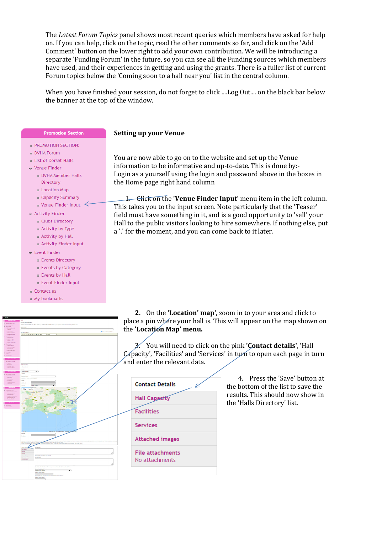The *Latest Forum Topics* panel shows most recent queries which members have asked for help on. If you can help, click on the topic, read the other comments so far, and click on the 'Add Comment' button on the lower right to add your own contribution. We will be introducing a separate 'Funding Forum' in the future, so you can see all the Funding sources which members have used, and their experiences in getting and using the grants. There is a fuller list of current Forum topics below the 'Coming soon to a hall near you' list in the central column.

When you have finished your session, do not forget to click ....Log Out.... on the black bar below the banner at the top of the window.

#### **Setting up your Venue**

You are now able to go on to the website and set up the Venue information to be informative and up-to-date. This is done by:- Login as a yourself using the login and password above in the boxes in the Home page right hand column

1. Click on the **'Venue Finder Input'** menu item in the left column. This takes you to the input screen. Note particularly that the 'Teaser' field must have something in it, and is a good opportunity to 'sell' your Hall to the public visitors looking to hire somewhere. If nothing else, put a '.' for the moment, and you can come back to it later.

**2.** On the **'Location' map'**, zoom in to your area and click to place a pin where your hall is. This will appear on the map shown on the **'Location Map' menu.** 

3. You will need to click on the pink **'Contact details'**, 'Hall Capacity', 'Facilities' and 'Services' in turn to open each page in turn and enter the relevant data.

4. Press the 'Save' button at the bottom of the list to save the results. This should now show in the 'Halls Directory' list.



- PROMOTION SECTION-
- e DVHA Forum
- a List of Dorset Halls
- Venue Finder
	- o DVHA Member Halls Directory
	- **o** Location Map
	- · Capacity Summary
	- Venue Finder Input  $\leq$
- Activity Finder
	- o Clubs Directory
	- **Activity by Type**
	- o Activity by Hall
	- **Activity Finder Input**
- $\overline{\phantom{a}}$  Event Finder
	- o Events Directory
	- o Events by Category
	- o Events by Hall
	- o Event Finder Input
- o Contactuis
- o My bookmarks

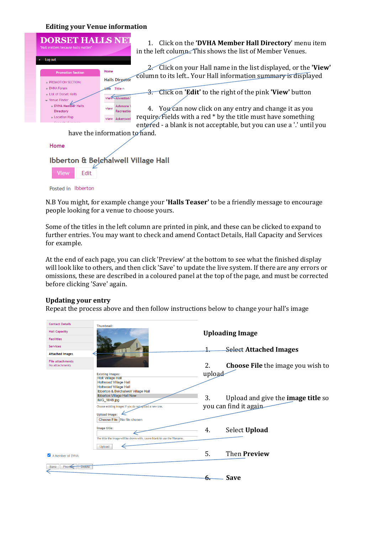#### **Editing your Venue information**



N.B You might, for example change your **'Halls Teaser'** to be a friendly message to encourage people looking for a venue to choose yours.

Some of the titles in the left column are printed in pink, and these can be clicked to expand to further entries. You may want to check and amend Contact Details, Hall Capacity and Services for example.

At the end of each page, you can click 'Preview' at the bottom to see what the finished display will look like to others, and then click 'Save' to update the live system. If there are any errors or omissions, these are described in a coloured panel at the top of the page, and must be corrected before clicking 'Save' again.

#### **Updating your entry**

Repeat the process above and then follow instructions below to change your hall's image

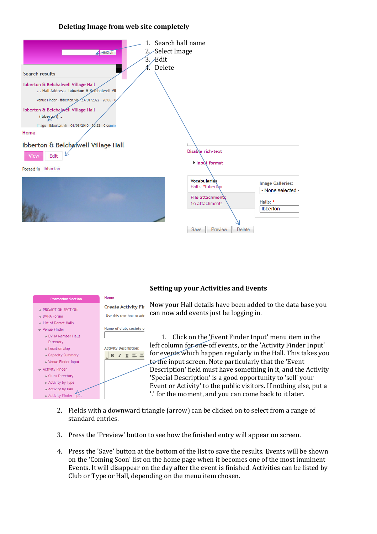#### **Deleting Image from web site completely**



#### **Setting up your Activities and Events**



Now your Hall details have been added to the data base you can now add events just be logging in.

1. Click on the 'Event Finder Input' menu item in the left column for one-off events, or the 'Activity Finder Input' for events which happen regularly in the Hall. This takes you to the input screen. Note particularly that the 'Event Description' field must have something in it, and the Activity 'Special Description' is a good opportunity to 'sell' your Event or Activity' to the public visitors. If nothing else, put a '.' for the moment, and you can come back to it later.

- 2. Fields with a downward triangle (arrow) can be clicked on to select from a range of standard entries.
- 3. Press the 'Preview' button to see how the finished entry will appear on screen.
- 4. Press the 'Save' button at the bottom of the list to save the results. Events will be shown on the 'Coming Soon' list on the home page when it becomes one of the most imminent Events. It will disappear on the day after the event is finished. Activities can be listed by Club or Type or Hall, depending on the menu item chosen.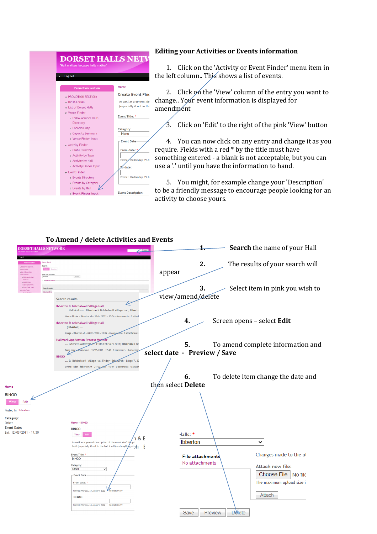#### **DORSET HALLS NETV** Log out Home **Create Event Find PROMOTION SECTION** o DVHA Forum As well as a general de .<br>List of Dorset Halls lespecially if not in the  $\bullet$  Venue Finder Event Title: DVHA Member Halls Directory **c** Location Map Category: · Capacity Summary  $-$  None o Venue Finder Input Event Date  $\bullet$  Activity Finder · Clubs Directory **From date** • Activity by Type esdav. 19 Ja · Activity by Hall • Activity Finder Input date:  $\equiv$  Fyent Finder e Events Directory o Events by Category o Events by Hall ₽ Event Description: o Event Finder Input

#### **Editing your Activities or Events information**

1. Click on the 'Activity or Event Finder' menu item in the left column.. This shows a list of events.

2. Click on the 'View' column of the entry you want to change.. Your event information is displayed for amendment

3. Click on 'Edit' to the right of the pink 'View' button

4. You can now click on any entry and change it as you require. Fields with a red \* by the title must have something entered - a blank is not acceptable, but you can use a '.' until you have the information to hand.

5. You might, for example change your 'Description' to be a friendly message to encourage people looking for an activity to choose yours.

#### **To Amend / delete Activities and Events**  DORSET HALLS NETWORK **1.** Search the name of your Hall **2.** The results of your search will appear Enter your loys Search **3.** Select item in pink you wish to view/amend/delete Search results ∠ Ibberton & Belchalwell Village Hall . La Document of The Control Press, 1999.<br>Hall Address: Ibberton & Belchalwell Village Hall, Ibbert. Venue Finder - ibberton.vh - 23/01/2022 - 20:06 - 0 comm nts : 0 attar **4.** Screen opens – select **Edit** Ibberton & Belchalwell Village Hall (Ibberton). Image - ibberton.vh - 04/03/2010 - 20:22 - 0 comp Hallmark Application Process Monitor<br>... Lytchett Matravers VH (15th February 2011) Ibberton & B **5.** To amend complete information and ... Lytchett Matravers VHT (15th February 2011) Ibberton<br>Book page Monymous - 13/05/2016 - 17:45 - 0 comments - 0 atta **select date - Preview / Save BINGO** .. & Belchalwell Village Hall Friday 12th March - Bingo 7. 3 Event Finder - ibberton.vh - 21/02/2011 - 16:07 - 0 comm **6.** To delete item change the date and then select **Delete**Home **RINGO** Edit Posted in Ibbertor Category: Home » RINGO Other Event Date: **BINGO** Sat. 12/03/2011 - 19:30 Halls: \* View Edit ົາ & E Ibberton  $\checkmark$ well as a general description of the event don't for reis;h - E held (especially if not in the hall itself) and anything Changes made to the at Event Title: File attachments **BINGO** No attachments Attach new file: Category:<br>Other  $\overline{\phantom{0}}$ Choose File No file -<br>Fvent Dati The maximum upload size is From da day, 24 January, 2022 Attach To date: Format: Monday, 24 January, 2022 Format: 06:59 Save Preview **Delete**